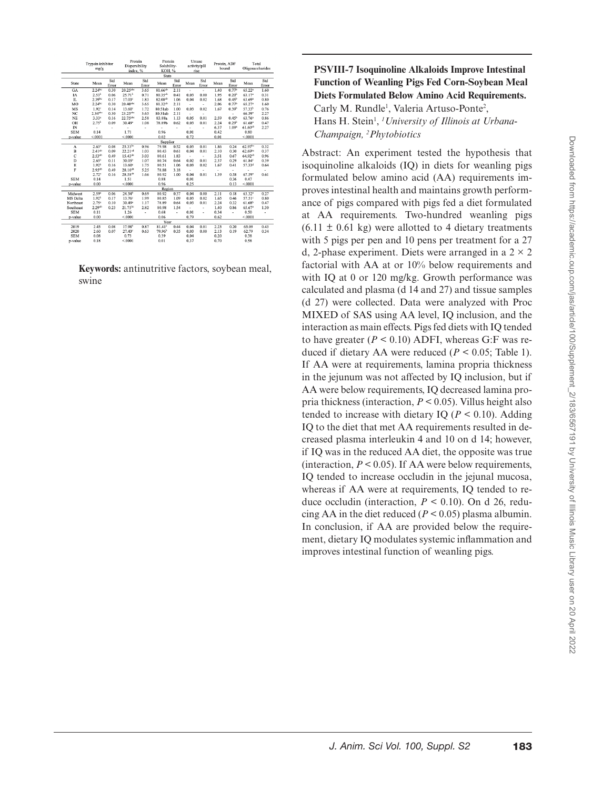|   | J<br>ı                       |
|---|------------------------------|
|   | ١                            |
|   | ś                            |
|   | j                            |
|   | Š<br>J                       |
|   | j<br>١                       |
|   | ¢<br>١<br>¢<br>١             |
|   | ł                            |
|   | uo.                          |
|   |                              |
|   | i<br>Eli                     |
|   |                              |
|   | ۔<br>؟<br>(<br>5             |
|   | ś                            |
|   | /ac                          |
|   | i<br>ó<br>Š                  |
|   | S<br>$\overline{\mathbf{C}}$ |
|   | נ<br>ג                       |
|   | 릉                            |
|   | i                            |
|   | dno                          |
|   |                              |
|   | Ï<br>J                       |
|   | llwo                         |
|   |                              |
|   | $\frac{1}{2}$<br>ig<br>S     |
|   | $\frac{1}{2}$<br>ś<br>١      |
|   | J<br>ŗ                       |
|   | ಕ                            |
|   | ă                            |
|   | $100\%$                      |
|   |                              |
|   | $\overline{1}$               |
|   |                              |
|   | dpplemen                     |
|   |                              |
|   |                              |
|   |                              |
|   | $\ddot{\phantom{0}}$<br>ï    |
| I | ľ<br>J                       |
|   |                              |
|   | ×                            |
|   | J                            |
|   | ¢<br>ς<br>j<br>J             |
|   | $\overline{\mathbf{C}}$      |
|   | န္တ<br>j<br>J                |
|   | ĉ<br>Į                       |
|   | C                            |
|   | ٦                            |
|   |                              |
|   | g                            |
|   | $\ddot{\zeta}$               |
|   | E<br>ı                       |
|   |                              |
|   | éť                           |
|   | Λμs.                         |
|   | í                            |
|   | ₹                            |
|   | $\equiv$                     |
|   | DUI                          |
|   | 늚                            |
|   | $\leq$                       |
|   | ≦<br>S                       |
|   | ļ                            |
|   | $\frac{1}{20}$               |
|   | ľ                            |
|   |                              |
|   | -lbrar <sup>-</sup>          |
|   |                              |
|   |                              |
|   |                              |
|   |                              |
|   |                              |
|   | I                            |
|   |                              |
|   |                              |
|   |                              |
|   | I                            |
|   | ł<br>I                       |

|                 | Trypsin inhibitor<br>mg/g |              | Dispersibility<br>index. % |              | Solubility-<br>KOH, % |              | activity/pH<br>rise      |                          | Protein, ADF<br>bound |                   | Total<br>Oligosaccharides |              |
|-----------------|---------------------------|--------------|----------------------------|--------------|-----------------------|--------------|--------------------------|--------------------------|-----------------------|-------------------|---------------------------|--------------|
|                 |                           |              |                            |              | State                 |              |                          |                          |                       |                   |                           |              |
| State           | Mean                      | Std<br>Error | Mean                       | Std<br>Error | Mean                  | Std<br>Error | Mean                     | Std<br>Error             | Mean                  | Std<br>Error      | Mean                      | Std<br>Error |
| GA              | $2.24$ bc                 | 0.30         | 20.25abc                   | 3.65         | 81.66 <sup>ab</sup>   | 2.11         | ä,                       | ٠                        | 1.40                  | 0.77 <sup>b</sup> | 65.22ª                    | 1.60         |
| <b>IA</b>       | 2.53 <sup>b</sup>         | 0.06         | $25.71^{b}$                | 0.71         | 80.35 <sup>ab</sup>   | 0.41         | 0.03                     | 0.00                     | 1.95                  | 0.20 <sup>b</sup> | 63.17 <sup>a</sup>        | 0.31         |
| IL              | $2.39^{bc}$               | 0.17         | 17.03°                     | 1.83         | 82.08 <sup>ab</sup>   | 1.06         | 0.04                     | 0.02                     | 1.68                  | $0.45^{b}$        | 63.69a                    | 0.80         |
| MO              | $2.24$ be                 | 0.30         | $20.40$ abc                | 3.65         | 81.32 <sup>ab</sup>   | 2.11         | ٠                        | ٠                        | 2.06                  | 0.77 <sup>b</sup> | 65.27 <sup>a</sup>        | 1.60         |
| MS              | 1.92 <sup>c</sup>         | 0.14         | $13.60^{\circ}$            | 1.72         | 80.51ab               | 1.00         | 0.03                     | 0.02                     | 1.67                  | 0.39 <sup>b</sup> | 57.33 <sup>b</sup>        | 0.76         |
| NC              | $2.34$ <sup>abc</sup>     | 0.30         | 23.25 <sup>abc</sup>       | 3.65         | 80.31ab               | 2.11         | ä,                       | $\overline{\phantom{a}}$ |                       | ٠                 | 66.59 <sup>a</sup>        | 2.27         |
| <b>NE</b>       | $3.33*$                   | 0.16         | 22.75sbc                   | 2.58         | 83.88a                | 1.13         | 0.05                     | 0.01                     | 2.59                  | 0.45 <sup>b</sup> | 63.76 <sup>a</sup>        | 0.86         |
| OH              | $2.75^{b}$                | 0.09         | $30.49$ <sup>a</sup>       | 1.08         | 78.89b                | 0.62         | 0.03                     | 0.01                     | 2.24                  | 0.29 <sup>b</sup> | $61.68$ <sup>a</sup>      | 0.47         |
| IN              | ×.                        | ä,           | ٠                          | ä,           | ٠                     | ٠            | ٠                        | ٠                        | 6.37                  | 1.09 <sup>3</sup> | $61.60^{ab}$              | 2.27         |
| <b>SEM</b>      | 0.14                      |              | 1.71                       |              | 0.96                  |              | 0.01                     |                          | 0.42                  |                   | 0.80                      |              |
| p-value         | < 0001                    |              | < .0001                    |              | 0.02                  |              | 0.72                     |                          | 0.01                  |                   | < 0001                    |              |
|                 |                           |              |                            |              | Supplier              |              |                          |                          |                       |                   |                           |              |
| A               | 2.63 <sup>2</sup>         | 0.08         | $25.33^{b}$                | 0.96         | 79.98                 | 0.52         | 0.03                     | 0.01                     | 1.86                  | 0.24              | 62.97 <sup>bc</sup>       | 0.32         |
| B               | $2.41^{ab}$               | 0.09         | 22.21 <sup>cd</sup>        | 1.03         | 80.43                 | 0.61         | 0.04                     | 0.01                     | 2.10                  | 0.30              | 62.69bc                   | 0.37         |
| $\mathbf C$     | 2.53 <sup>ab</sup>        | 0.49         | $15.43^{de}$               | 3.03         | 80.61                 | 1.83         | $\overline{\phantom{a}}$ | $\sim$                   | 3.51                  | 0.67              | 64.92ab                   | 0.96         |
| D               | $2.65^*$                  | 0.11         | 30.05 <sup>a</sup>         | 1.07         | 80.74                 | 0.64         | 0.02                     | 0.01                     | 2.37                  | 0.29              | 61.84°                    | 0.39         |
| E               | 1.92 <sup>b</sup>         | 0.16         | 13.60°                     | 1.75         | 80.51                 | 1.06         | 0.03                     | 0.02                     | 1.67                  | 0.41              | 57.33 <sup>d</sup>        | 0.64         |
| F               | $2.95^{ab}$               | 0.49         | $28.10^{ab}$               | 5.25         | 78.88                 | 3.18         | ÷                        | $\sim$                   | ۰                     | $\sim$            | ٠                         | ٠            |
|                 | 2.72 <sup>a</sup>         | 0.16         | $28.58^{ab}$               | 1.66         | 80.92                 | 1.00         | 0.04                     | 0.01                     | 1.39                  | 0.58              | 67.59 <sup>a</sup>        | 0.61         |
| <b>SEM</b>      | 0.14                      |              | 1.51                       |              | 0.88                  |              | 0.01                     |                          |                       | 0.36              | 0.47                      |              |
| p-value         | 0.00                      |              | < 0001                     |              | 0.96                  |              | 0.25                     |                          |                       | 0.13              | < 0001                    |              |
|                 |                           |              |                            |              | Region                |              |                          |                          |                       |                   |                           |              |
| Midwest         | 2.59 <sup>a</sup>         | 0.06         | 24.34 <sup>b</sup>         | 0.69         | 80.92                 | 0.37         | 0.04                     | 0.00                     | 2.11                  | 0.18              | 63.32ª                    | 0.27         |
| <b>MS</b> Delta | $1.92^b$                  | 0.17         | 13.76°                     | 1.99         | 80.85                 | 1.09         | 0.03                     | 0.02                     | 1.65                  | 0.46              | 57.51 <sup>c</sup>        | 0.80         |
| Northeast       | 2.75 <sup>a</sup>         | 0.10         | 30.49a                     | 1.17         | 78.89                 | 0.64         | 0.03                     | 0.01                     | 2.24                  | 0.32              | 61.68 <sup>b</sup>        | 0.47         |
| Southeast       | $2.29^{ab}$               | 0.23         | $21.75^{bc}$               | 2.82         | 80.98                 | 1.54         | ÷                        | $\overline{\phantom{a}}$ | 1.40                  | 0.86              | 65.67 <sup>a</sup>        | 1.30         |
| <b>SEM</b>      | 0.11                      |              | 1.26                       | ä,           | 0.68                  | ٠            | 0.01                     | ×.                       | 0.34                  | ٠                 | 0.50                      | ٠            |
| p-value         | 0.00                      |              | < 0001                     |              | 0.06                  |              | 0.79                     |                          | 0.62                  |                   | < 0001                    |              |
|                 |                           |              |                            |              | Year                  |              |                          |                          |                       |                   |                           |              |
| 2019            | 2.45                      | 0.08         | $17.98^{b}$                | 0.87         | $81.41$ <sup>*</sup>  | 0.44         | 0.04                     | 0.01                     | 2.23                  | 0.20              | 63.09                     | 0.43         |
| 2020            | 2.60                      | 0.07         | $27.43^c$                  | 0.63         | 79.96 <sup>b</sup>    | 0.35         | 0.03                     | 0.00                     | 2.13                  | 0.19              | 62.79                     | 0.34         |
| <b>SEM</b>      | 0.08                      |              | 0.73                       |              | 0.39                  |              | 0.04                     |                          | 0.20                  |                   | 0.38                      |              |
| p-value         | 0.18                      |              | < 0001                     |              | 0.01                  |              | 0.37                     |                          | 0.70                  |                   | 0.58                      |              |

**Keywords:** antinutritive factors, soybean meal, swine

## **PSVIII-7 Isoquinoline Alkaloids Improve Intestinal Function of Weanling Pigs Fed Corn-Soybean Meal Diets Formulated Below Amino Acid Requirements.** Carly M. Rundle<sup>1</sup>, Valeria Artuso-Ponte<sup>2</sup>, Hans H. Stein<sup>1</sup>, <sup>*1 University of Illinois at Urbana-*</sup>

*Champaign, <sup>2</sup> Phytobiotics*

Abstract: An experiment tested the hypothesis that isoquinoline alkaloids (IQ) in diets for weanling pigs formulated below amino acid (AA) requirements improves intestinal health and maintains growth performance of pigs compared with pigs fed a diet formulated at AA requirements. Two-hundred weanling pigs  $(6.11 \pm 0.61 \text{ kg})$  were allotted to 4 dietary treatments with 5 pigs per pen and 10 pens per treatment for a 27 d, 2-phase experiment. Diets were arranged in a  $2 \times 2$ factorial with AA at or 10% below requirements and with IQ at 0 or 120 mg/kg. Growth performance was calculated and plasma (d 14 and 27) and tissue samples (d 27) were collected. Data were analyzed with Proc MIXED of SAS using AA level, IQ inclusion, and the interaction as main effects. Pigs fed diets with IQ tended to have greater  $(P < 0.10)$  ADFI, whereas G:F was reduced if dietary AA were reduced ( $P < 0.05$ ; Table 1). If AA were at requirements, lamina propria thickness in the jejunum was not affected by IQ inclusion, but if AA were below requirements, IQ decreased lamina propria thickness (interaction, *P* < 0.05). Villus height also tended to increase with dietary IQ ( $P < 0.10$ ). Adding IQ to the diet that met AA requirements resulted in decreased plasma interleukin 4 and 10 on d 14; however, if IQ was in the reduced AA diet, the opposite was true (interaction,  $P \le 0.05$ ). If AA were below requirements, IQ tended to increase occludin in the jejunal mucosa, whereas if AA were at requirements, IQ tended to reduce occludin (interaction,  $P < 0.10$ ). On d 26, reducing AA in the diet reduced  $(P < 0.05)$  plasma albumin. In conclusion, if AA are provided below the requirement, dietary IQ modulates systemic inflammation and improves intestinal function of weanling pigs.